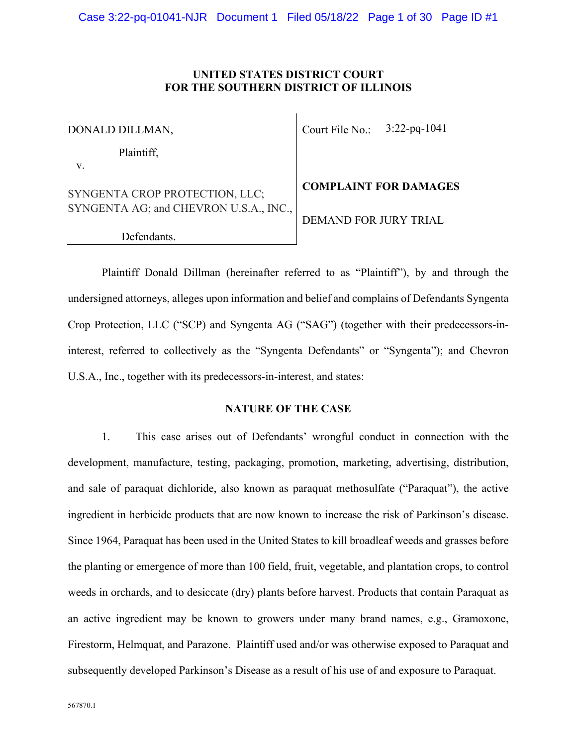# **UNITED STATES DISTRICT COURT FOR THE SOUTHERN DISTRICT OF ILLINOIS**

 $\mathbf{I}$ 

| DONALD DILLMAN,                        | Court File No.: 3:22-pq-1041 |                              |
|----------------------------------------|------------------------------|------------------------------|
| Plaintiff,                             |                              |                              |
| V.                                     |                              |                              |
| SYNGENTA CROP PROTECTION, LLC;         |                              | <b>COMPLAINT FOR DAMAGES</b> |
| SYNGENTA AG; and CHEVRON U.S.A., INC., | <b>DEMAND FOR JURY TRIAL</b> |                              |
| Defendants.                            |                              |                              |

Plaintiff Donald Dillman (hereinafter referred to as "Plaintiff"), by and through the undersigned attorneys, alleges upon information and belief and complains of Defendants Syngenta Crop Protection, LLC ("SCP) and Syngenta AG ("SAG") (together with their predecessors-ininterest, referred to collectively as the "Syngenta Defendants" or "Syngenta"); and Chevron U.S.A., Inc., together with its predecessors-in-interest, and states:

## **NATURE OF THE CASE**

1. This case arises out of Defendants' wrongful conduct in connection with the development, manufacture, testing, packaging, promotion, marketing, advertising, distribution, and sale of paraquat dichloride, also known as paraquat methosulfate ("Paraquat"), the active ingredient in herbicide products that are now known to increase the risk of Parkinson's disease. Since 1964, Paraquat has been used in the United States to kill broadleaf weeds and grasses before the planting or emergence of more than 100 field, fruit, vegetable, and plantation crops, to control weeds in orchards, and to desiccate (dry) plants before harvest. Products that contain Paraquat as an active ingredient may be known to growers under many brand names, e.g., Gramoxone, Firestorm, Helmquat, and Parazone. Plaintiff used and/or was otherwise exposed to Paraquat and subsequently developed Parkinson's Disease as a result of his use of and exposure to Paraquat.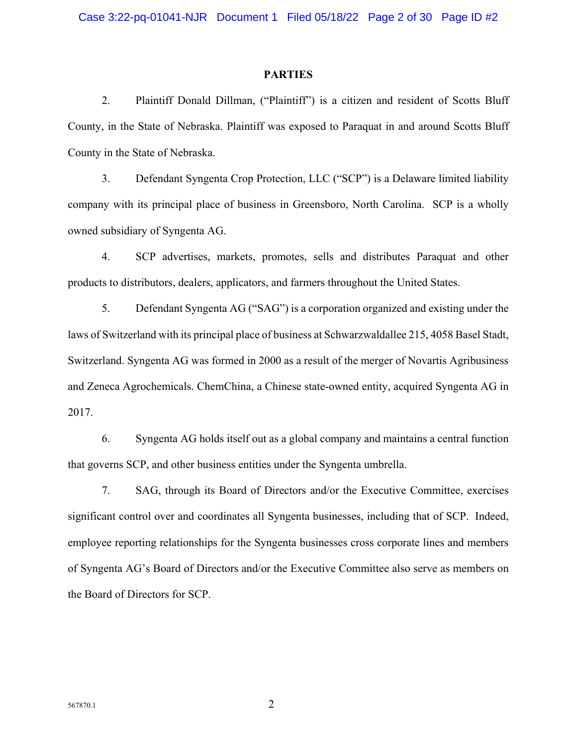#### **PARTIES**

2. Plaintiff Donald Dillman, ("Plaintiff") is a citizen and resident of Scotts Bluff County, in the State of Nebraska. Plaintiff was exposed to Paraquat in and around Scotts Bluff County in the State of Nebraska.

3. Defendant Syngenta Crop Protection, LLC ("SCP") is a Delaware limited liability company with its principal place of business in Greensboro, North Carolina. SCP is a wholly owned subsidiary of Syngenta AG.

4. SCP advertises, markets, promotes, sells and distributes Paraquat and other products to distributors, dealers, applicators, and farmers throughout the United States.

5. Defendant Syngenta AG ("SAG") is a corporation organized and existing under the laws of Switzerland with its principal place of business at Schwarzwaldallee 215, 4058 Basel Stadt, Switzerland. Syngenta AG was formed in 2000 as a result of the merger of Novartis Agribusiness and Zeneca Agrochemicals. ChemChina, a Chinese state-owned entity, acquired Syngenta AG in 2017.

6. Syngenta AG holds itself out as a global company and maintains a central function that governs SCP, and other business entities under the Syngenta umbrella.

7. SAG, through its Board of Directors and/or the Executive Committee, exercises significant control over and coordinates all Syngenta businesses, including that of SCP. Indeed, employee reporting relationships for the Syngenta businesses cross corporate lines and members of Syngenta AG's Board of Directors and/or the Executive Committee also serve as members on the Board of Directors for SCP.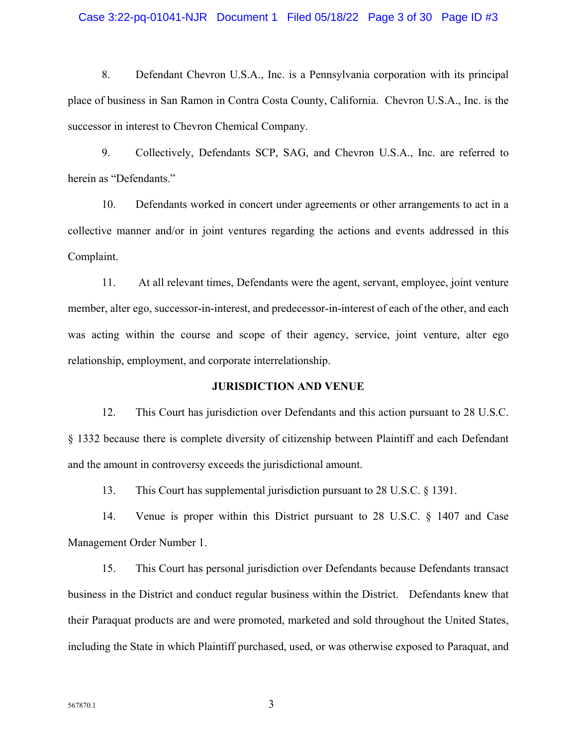### Case 3:22-pq-01041-NJR Document 1 Filed 05/18/22 Page 3 of 30 Page ID #3

8. Defendant Chevron U.S.A., Inc. is a Pennsylvania corporation with its principal place of business in San Ramon in Contra Costa County, California. Chevron U.S.A., Inc. is the successor in interest to Chevron Chemical Company.

9. Collectively, Defendants SCP, SAG, and Chevron U.S.A., Inc. are referred to herein as "Defendants."

10. Defendants worked in concert under agreements or other arrangements to act in a collective manner and/or in joint ventures regarding the actions and events addressed in this Complaint.

11. At all relevant times, Defendants were the agent, servant, employee, joint venture member, alter ego, successor-in-interest, and predecessor-in-interest of each of the other, and each was acting within the course and scope of their agency, service, joint venture, alter ego relationship, employment, and corporate interrelationship.

#### **JURISDICTION AND VENUE**

12. This Court has jurisdiction over Defendants and this action pursuant to 28 U.S.C. § 1332 because there is complete diversity of citizenship between Plaintiff and each Defendant and the amount in controversy exceeds the jurisdictional amount.

13. This Court has supplemental jurisdiction pursuant to 28 U.S.C. § 1391.

14. Venue is proper within this District pursuant to 28 U.S.C. § 1407 and Case Management Order Number 1.

15. This Court has personal jurisdiction over Defendants because Defendants transact business in the District and conduct regular business within the District. Defendants knew that their Paraquat products are and were promoted, marketed and sold throughout the United States, including the State in which Plaintiff purchased, used, or was otherwise exposed to Paraquat, and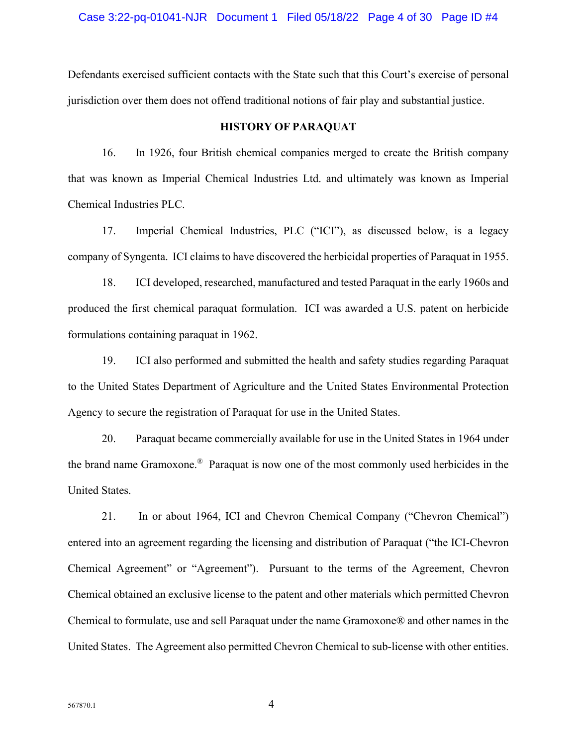Defendants exercised sufficient contacts with the State such that this Court's exercise of personal jurisdiction over them does not offend traditional notions of fair play and substantial justice.

# **HISTORY OF PARAQUAT**

16. In 1926, four British chemical companies merged to create the British company that was known as Imperial Chemical Industries Ltd. and ultimately was known as Imperial Chemical Industries PLC.

17. Imperial Chemical Industries, PLC ("ICI"), as discussed below, is a legacy company of Syngenta. ICI claims to have discovered the herbicidal properties of Paraquat in 1955.

18. ICI developed, researched, manufactured and tested Paraquat in the early 1960s and produced the first chemical paraquat formulation. ICI was awarded a U.S. patent on herbicide formulations containing paraquat in 1962.

19. ICI also performed and submitted the health and safety studies regarding Paraquat to the United States Department of Agriculture and the United States Environmental Protection Agency to secure the registration of Paraquat for use in the United States.

20. Paraquat became commercially available for use in the United States in 1964 under the brand name Gramoxone.® Paraquat is now one of the most commonly used herbicides in the United States.

21. In or about 1964, ICI and Chevron Chemical Company ("Chevron Chemical") entered into an agreement regarding the licensing and distribution of Paraquat ("the ICI-Chevron Chemical Agreement" or "Agreement"). Pursuant to the terms of the Agreement, Chevron Chemical obtained an exclusive license to the patent and other materials which permitted Chevron Chemical to formulate, use and sell Paraquat under the name Gramoxone® and other names in the United States. The Agreement also permitted Chevron Chemical to sub-license with other entities.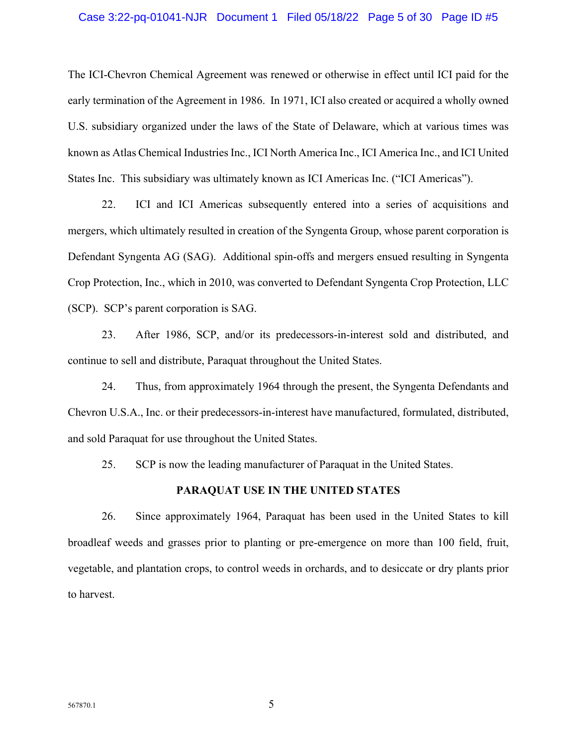#### Case 3:22-pq-01041-NJR Document 1 Filed 05/18/22 Page 5 of 30 Page ID #5

The ICI-Chevron Chemical Agreement was renewed or otherwise in effect until ICI paid for the early termination of the Agreement in 1986. In 1971, ICI also created or acquired a wholly owned U.S. subsidiary organized under the laws of the State of Delaware, which at various times was known as Atlas Chemical Industries Inc., ICI North America Inc., ICI America Inc., and ICI United States Inc. This subsidiary was ultimately known as ICI Americas Inc. ("ICI Americas").

22. ICI and ICI Americas subsequently entered into a series of acquisitions and mergers, which ultimately resulted in creation of the Syngenta Group, whose parent corporation is Defendant Syngenta AG (SAG). Additional spin-offs and mergers ensued resulting in Syngenta Crop Protection, Inc., which in 2010, was converted to Defendant Syngenta Crop Protection, LLC (SCP). SCP's parent corporation is SAG.

23. After 1986, SCP, and/or its predecessors-in-interest sold and distributed, and continue to sell and distribute, Paraquat throughout the United States.

24. Thus, from approximately 1964 through the present, the Syngenta Defendants and Chevron U.S.A., Inc. or their predecessors-in-interest have manufactured, formulated, distributed, and sold Paraquat for use throughout the United States.

25. SCP is now the leading manufacturer of Paraquat in the United States.

#### **PARAQUAT USE IN THE UNITED STATES**

26. Since approximately 1964, Paraquat has been used in the United States to kill broadleaf weeds and grasses prior to planting or pre-emergence on more than 100 field, fruit, vegetable, and plantation crops, to control weeds in orchards, and to desiccate or dry plants prior to harvest.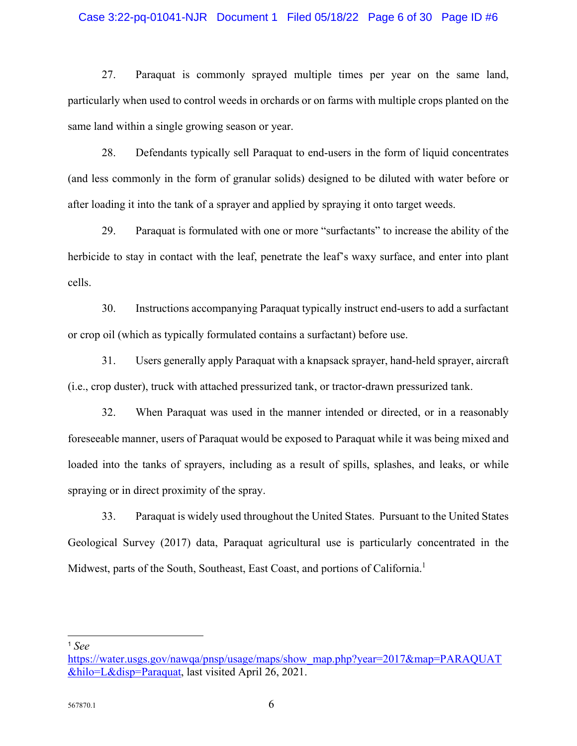## Case 3:22-pq-01041-NJR Document 1 Filed 05/18/22 Page 6 of 30 Page ID #6

27. Paraquat is commonly sprayed multiple times per year on the same land, particularly when used to control weeds in orchards or on farms with multiple crops planted on the same land within a single growing season or year.

28. Defendants typically sell Paraquat to end-users in the form of liquid concentrates (and less commonly in the form of granular solids) designed to be diluted with water before or after loading it into the tank of a sprayer and applied by spraying it onto target weeds.

29. Paraquat is formulated with one or more "surfactants" to increase the ability of the herbicide to stay in contact with the leaf, penetrate the leaf's waxy surface, and enter into plant cells.

30. Instructions accompanying Paraquat typically instruct end-users to add a surfactant or crop oil (which as typically formulated contains a surfactant) before use.

31. Users generally apply Paraquat with a knapsack sprayer, hand-held sprayer, aircraft (i.e., crop duster), truck with attached pressurized tank, or tractor-drawn pressurized tank.

32. When Paraquat was used in the manner intended or directed, or in a reasonably foreseeable manner, users of Paraquat would be exposed to Paraquat while it was being mixed and loaded into the tanks of sprayers, including as a result of spills, splashes, and leaks, or while spraying or in direct proximity of the spray.

33. Paraquat is widely used throughout the United States. Pursuant to the United States Geological Survey (2017) data, Paraquat agricultural use is particularly concentrated in the Midwest, parts of the South, Southeast, East Coast, and portions of California.<sup>1</sup>

<sup>1</sup> *See*

l

https://water.usgs.gov/nawqa/pnsp/usage/maps/show\_map.php?year=2017&map=PARAQUAT &hilo=L&disp=Paraquat, last visited April 26, 2021.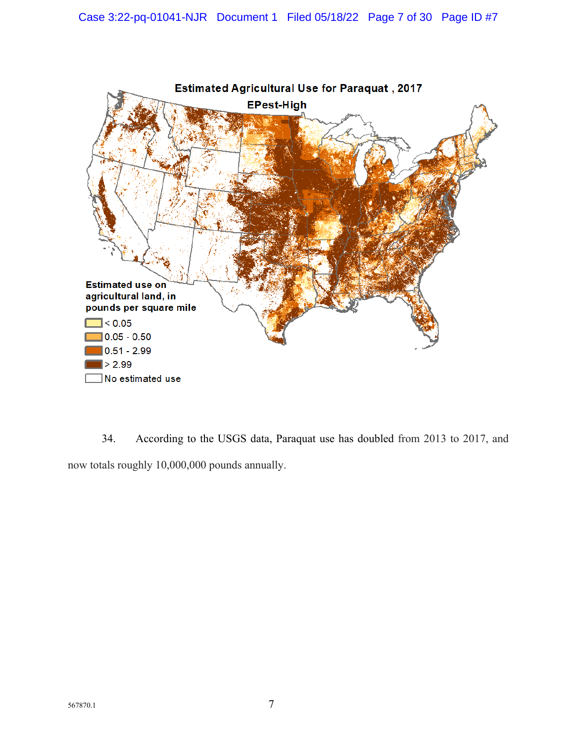

34. According to the USGS data, Paraquat use has doubled from 2013 to 2017, and now totals roughly 10,000,000 pounds annually.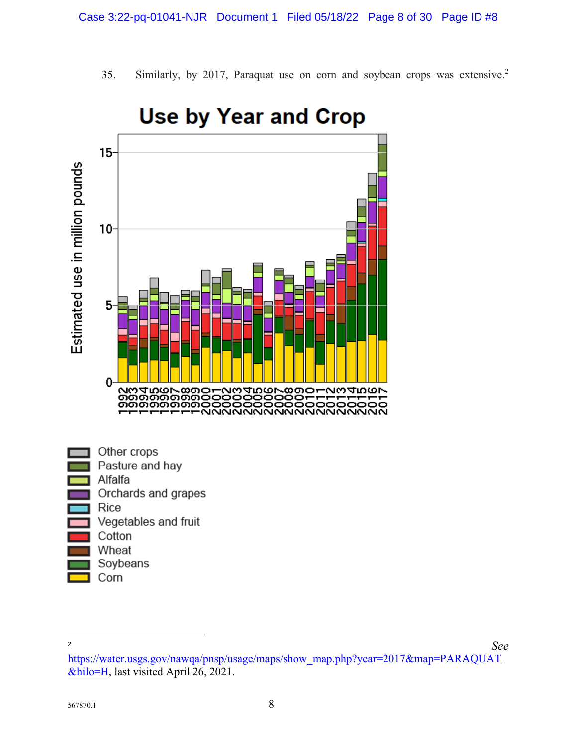35. Similarly, by 2017, Paraquat use on corn and soybean crops was extensive.2



<sup>2</sup> *See*

l

https://water.usgs.gov/nawqa/pnsp/usage/maps/show\_map.php?year=2017&map=PARAQUAT &hilo=H, last visited April 26, 2021.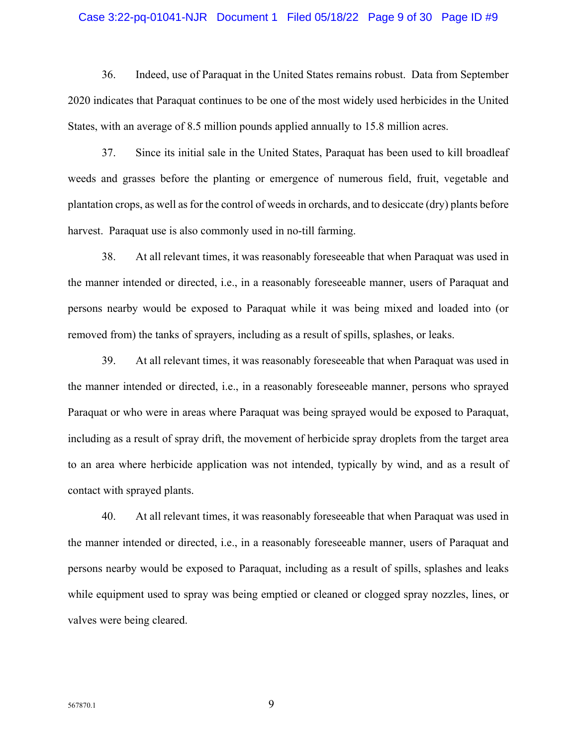#### Case 3:22-pq-01041-NJR Document 1 Filed 05/18/22 Page 9 of 30 Page ID #9

36. Indeed, use of Paraquat in the United States remains robust. Data from September 2020 indicates that Paraquat continues to be one of the most widely used herbicides in the United States, with an average of 8.5 million pounds applied annually to 15.8 million acres.

37. Since its initial sale in the United States, Paraquat has been used to kill broadleaf weeds and grasses before the planting or emergence of numerous field, fruit, vegetable and plantation crops, as well as for the control of weeds in orchards, and to desiccate (dry) plants before harvest. Paraquat use is also commonly used in no-till farming.

38. At all relevant times, it was reasonably foreseeable that when Paraquat was used in the manner intended or directed, i.e., in a reasonably foreseeable manner, users of Paraquat and persons nearby would be exposed to Paraquat while it was being mixed and loaded into (or removed from) the tanks of sprayers, including as a result of spills, splashes, or leaks.

39. At all relevant times, it was reasonably foreseeable that when Paraquat was used in the manner intended or directed, i.e., in a reasonably foreseeable manner, persons who sprayed Paraquat or who were in areas where Paraquat was being sprayed would be exposed to Paraquat, including as a result of spray drift, the movement of herbicide spray droplets from the target area to an area where herbicide application was not intended, typically by wind, and as a result of contact with sprayed plants.

40. At all relevant times, it was reasonably foreseeable that when Paraquat was used in the manner intended or directed, i.e., in a reasonably foreseeable manner, users of Paraquat and persons nearby would be exposed to Paraquat, including as a result of spills, splashes and leaks while equipment used to spray was being emptied or cleaned or clogged spray nozzles, lines, or valves were being cleared.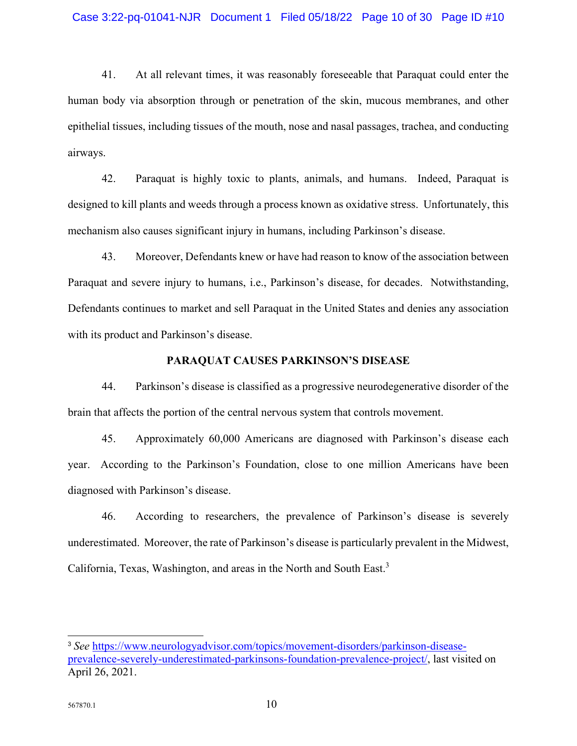41. At all relevant times, it was reasonably foreseeable that Paraquat could enter the human body via absorption through or penetration of the skin, mucous membranes, and other epithelial tissues, including tissues of the mouth, nose and nasal passages, trachea, and conducting airways.

42. Paraquat is highly toxic to plants, animals, and humans. Indeed, Paraquat is designed to kill plants and weeds through a process known as oxidative stress. Unfortunately, this mechanism also causes significant injury in humans, including Parkinson's disease.

43. Moreover, Defendants knew or have had reason to know of the association between Paraquat and severe injury to humans, i.e., Parkinson's disease, for decades. Notwithstanding, Defendants continues to market and sell Paraquat in the United States and denies any association with its product and Parkinson's disease.

## **PARAQUAT CAUSES PARKINSON'S DISEASE**

44. Parkinson's disease is classified as a progressive neurodegenerative disorder of the brain that affects the portion of the central nervous system that controls movement.

45. Approximately 60,000 Americans are diagnosed with Parkinson's disease each year. According to the Parkinson's Foundation, close to one million Americans have been diagnosed with Parkinson's disease.

46. According to researchers, the prevalence of Parkinson's disease is severely underestimated. Moreover, the rate of Parkinson's disease is particularly prevalent in the Midwest, California, Texas, Washington, and areas in the North and South East.<sup>3</sup>

l

<sup>3</sup> *See* https://www.neurologyadvisor.com/topics/movement-disorders/parkinson-diseaseprevalence-severely-underestimated-parkinsons-foundation-prevalence-project/, last visited on April 26, 2021.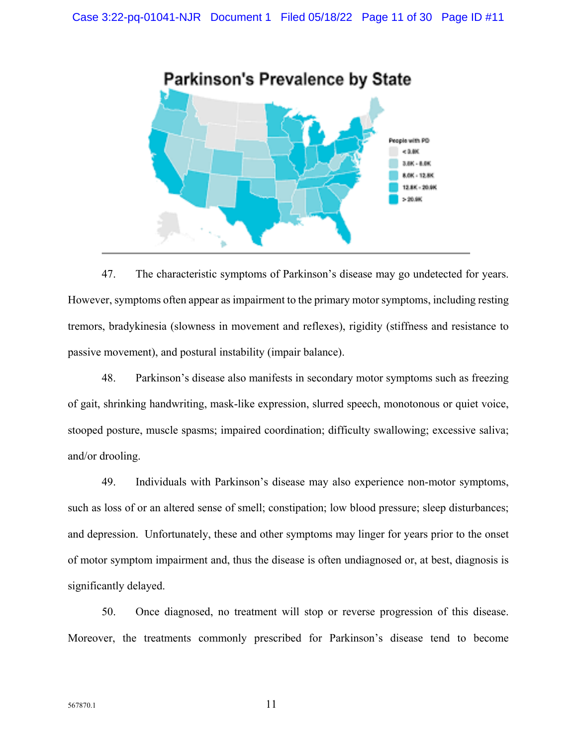

47. The characteristic symptoms of Parkinson's disease may go undetected for years. However, symptoms often appear as impairment to the primary motor symptoms, including resting tremors, bradykinesia (slowness in movement and reflexes), rigidity (stiffness and resistance to passive movement), and postural instability (impair balance).

48. Parkinson's disease also manifests in secondary motor symptoms such as freezing of gait, shrinking handwriting, mask-like expression, slurred speech, monotonous or quiet voice, stooped posture, muscle spasms; impaired coordination; difficulty swallowing; excessive saliva; and/or drooling.

49. Individuals with Parkinson's disease may also experience non-motor symptoms, such as loss of or an altered sense of smell; constipation; low blood pressure; sleep disturbances; and depression. Unfortunately, these and other symptoms may linger for years prior to the onset of motor symptom impairment and, thus the disease is often undiagnosed or, at best, diagnosis is significantly delayed.

50. Once diagnosed, no treatment will stop or reverse progression of this disease. Moreover, the treatments commonly prescribed for Parkinson's disease tend to become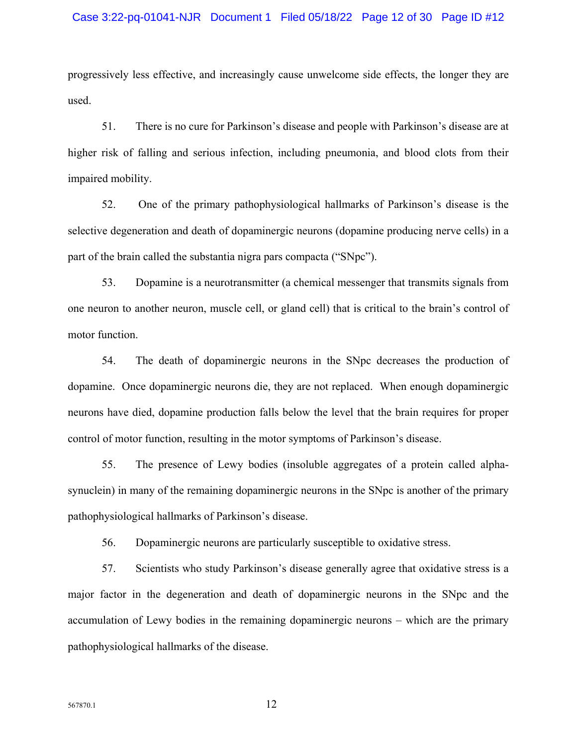## Case 3:22-pq-01041-NJR Document 1 Filed 05/18/22 Page 12 of 30 Page ID #12

progressively less effective, and increasingly cause unwelcome side effects, the longer they are used.

51. There is no cure for Parkinson's disease and people with Parkinson's disease are at higher risk of falling and serious infection, including pneumonia, and blood clots from their impaired mobility.

52. One of the primary pathophysiological hallmarks of Parkinson's disease is the selective degeneration and death of dopaminergic neurons (dopamine producing nerve cells) in a part of the brain called the substantia nigra pars compacta ("SNpc").

53. Dopamine is a neurotransmitter (a chemical messenger that transmits signals from one neuron to another neuron, muscle cell, or gland cell) that is critical to the brain's control of motor function.

54. The death of dopaminergic neurons in the SNpc decreases the production of dopamine. Once dopaminergic neurons die, they are not replaced. When enough dopaminergic neurons have died, dopamine production falls below the level that the brain requires for proper control of motor function, resulting in the motor symptoms of Parkinson's disease.

55. The presence of Lewy bodies (insoluble aggregates of a protein called alphasynuclein) in many of the remaining dopaminergic neurons in the SNpc is another of the primary pathophysiological hallmarks of Parkinson's disease.

56. Dopaminergic neurons are particularly susceptible to oxidative stress.

57. Scientists who study Parkinson's disease generally agree that oxidative stress is a major factor in the degeneration and death of dopaminergic neurons in the SNpc and the accumulation of Lewy bodies in the remaining dopaminergic neurons – which are the primary pathophysiological hallmarks of the disease.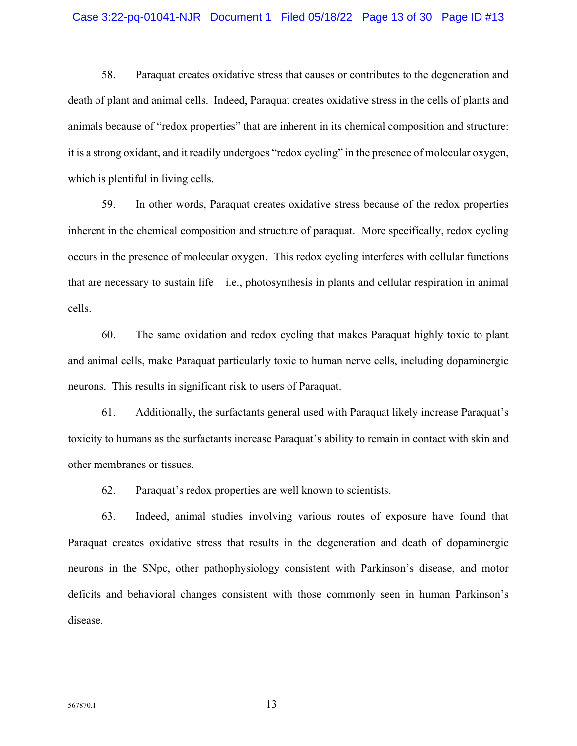#### Case 3:22-pq-01041-NJR Document 1 Filed 05/18/22 Page 13 of 30 Page ID #13

58. Paraquat creates oxidative stress that causes or contributes to the degeneration and death of plant and animal cells. Indeed, Paraquat creates oxidative stress in the cells of plants and animals because of "redox properties" that are inherent in its chemical composition and structure: it is a strong oxidant, and it readily undergoes "redox cycling" in the presence of molecular oxygen, which is plentiful in living cells.

59. In other words, Paraquat creates oxidative stress because of the redox properties inherent in the chemical composition and structure of paraquat. More specifically, redox cycling occurs in the presence of molecular oxygen. This redox cycling interferes with cellular functions that are necessary to sustain life – i.e., photosynthesis in plants and cellular respiration in animal cells.

60. The same oxidation and redox cycling that makes Paraquat highly toxic to plant and animal cells, make Paraquat particularly toxic to human nerve cells, including dopaminergic neurons. This results in significant risk to users of Paraquat.

61. Additionally, the surfactants general used with Paraquat likely increase Paraquat's toxicity to humans as the surfactants increase Paraquat's ability to remain in contact with skin and other membranes or tissues.

62. Paraquat's redox properties are well known to scientists.

63. Indeed, animal studies involving various routes of exposure have found that Paraquat creates oxidative stress that results in the degeneration and death of dopaminergic neurons in the SNpc, other pathophysiology consistent with Parkinson's disease, and motor deficits and behavioral changes consistent with those commonly seen in human Parkinson's disease.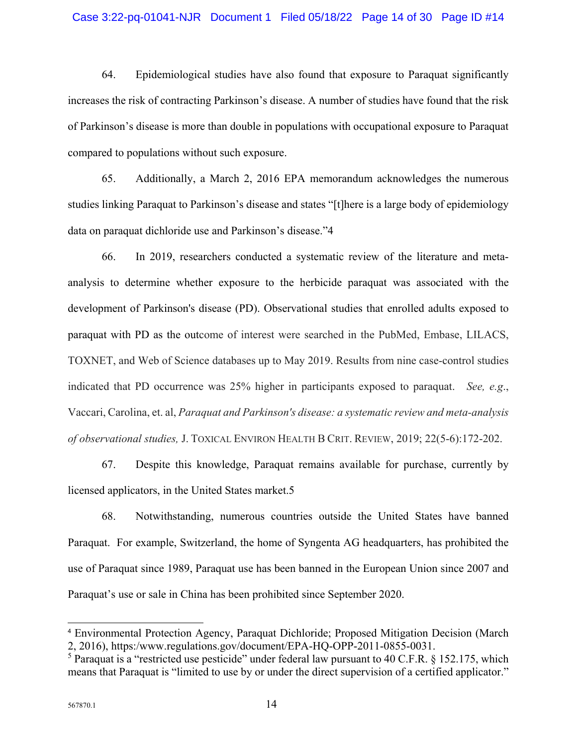## Case 3:22-pq-01041-NJR Document 1 Filed 05/18/22 Page 14 of 30 Page ID #14

64. Epidemiological studies have also found that exposure to Paraquat significantly increases the risk of contracting Parkinson's disease. A number of studies have found that the risk of Parkinson's disease is more than double in populations with occupational exposure to Paraquat compared to populations without such exposure.

65. Additionally, a March 2, 2016 EPA memorandum acknowledges the numerous studies linking Paraquat to Parkinson's disease and states "[t]here is a large body of epidemiology data on paraquat dichloride use and Parkinson's disease."4

66. In 2019, researchers conducted a systematic review of the literature and metaanalysis to determine whether exposure to the herbicide paraquat was associated with the development of Parkinson's disease (PD). Observational studies that enrolled adults exposed to paraquat with PD as the outcome of interest were searched in the PubMed, Embase, LILACS, TOXNET, and Web of Science databases up to May 2019. Results from nine case-control studies indicated that PD occurrence was 25% higher in participants exposed to paraquat. *See, e.g*., Vaccari, Carolina, et. al, *Paraquat and Parkinson's disease: a systematic review and meta-analysis of observational studies,* J. TOXICAL ENVIRON HEALTH B CRIT. REVIEW, 2019; 22(5-6):172-202.

67. Despite this knowledge, Paraquat remains available for purchase, currently by licensed applicators, in the United States market.5

68. Notwithstanding, numerous countries outside the United States have banned Paraquat. For example, Switzerland, the home of Syngenta AG headquarters, has prohibited the use of Paraquat since 1989, Paraquat use has been banned in the European Union since 2007 and Paraquat's use or sale in China has been prohibited since September 2020.

l

<sup>4</sup> Environmental Protection Agency, Paraquat Dichloride; Proposed Mitigation Decision (March 2, 2016), https:/www.regulations.gov/document/EPA-HQ-OPP-2011-0855-0031.

<sup>&</sup>lt;sup>5</sup> Paraquat is a "restricted use pesticide" under federal law pursuant to 40 C.F.R. § 152.175, which means that Paraquat is "limited to use by or under the direct supervision of a certified applicator."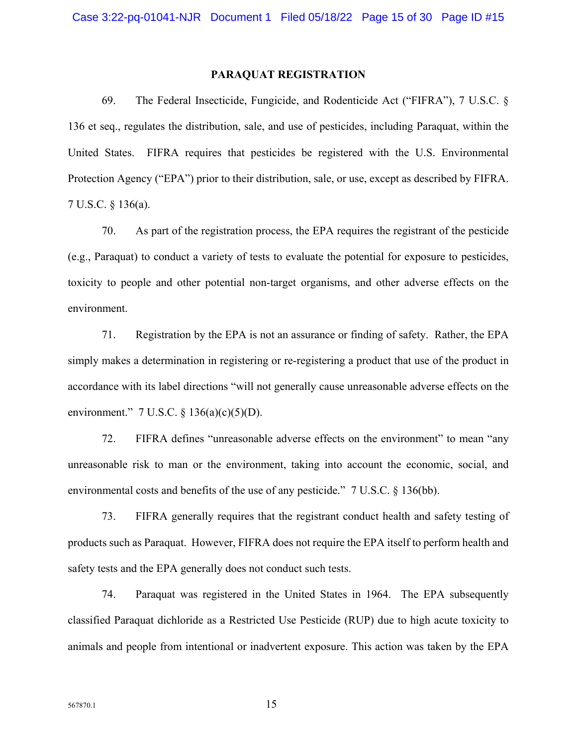## **PARAQUAT REGISTRATION**

69. The Federal Insecticide, Fungicide, and Rodenticide Act ("FIFRA"), 7 U.S.C. § 136 et seq., regulates the distribution, sale, and use of pesticides, including Paraquat, within the United States. FIFRA requires that pesticides be registered with the U.S. Environmental Protection Agency ("EPA") prior to their distribution, sale, or use, except as described by FIFRA. 7 U.S.C. § 136(a).

70. As part of the registration process, the EPA requires the registrant of the pesticide (e.g., Paraquat) to conduct a variety of tests to evaluate the potential for exposure to pesticides, toxicity to people and other potential non-target organisms, and other adverse effects on the environment.

71. Registration by the EPA is not an assurance or finding of safety. Rather, the EPA simply makes a determination in registering or re-registering a product that use of the product in accordance with its label directions "will not generally cause unreasonable adverse effects on the environment."  $7 \text{ U.S.C. } \S 136(a)(c)(5)(D)$ .

72. FIFRA defines "unreasonable adverse effects on the environment" to mean "any unreasonable risk to man or the environment, taking into account the economic, social, and environmental costs and benefits of the use of any pesticide." 7 U.S.C. § 136(bb).

73. FIFRA generally requires that the registrant conduct health and safety testing of products such as Paraquat. However, FIFRA does not require the EPA itself to perform health and safety tests and the EPA generally does not conduct such tests.

74. Paraquat was registered in the United States in 1964. The EPA subsequently classified Paraquat dichloride as a Restricted Use Pesticide (RUP) due to high acute toxicity to animals and people from intentional or inadvertent exposure. This action was taken by the EPA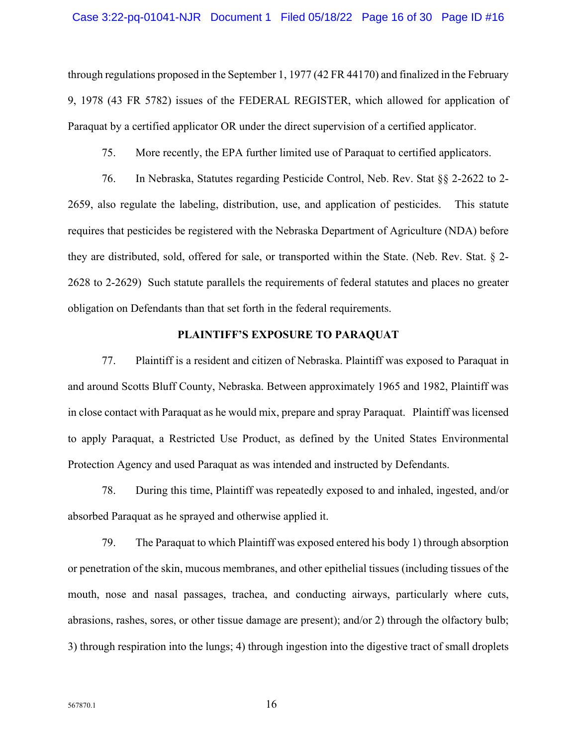through regulations proposed in the September 1, 1977 (42 FR 44170) and finalized in the February 9, 1978 (43 FR 5782) issues of the FEDERAL REGISTER, which allowed for application of Paraquat by a certified applicator OR under the direct supervision of a certified applicator.

75. More recently, the EPA further limited use of Paraquat to certified applicators.

76. In Nebraska, Statutes regarding Pesticide Control, Neb. Rev. Stat §§ 2-2622 to 2- 2659, also regulate the labeling, distribution, use, and application of pesticides. This statute requires that pesticides be registered with the Nebraska Department of Agriculture (NDA) before they are distributed, sold, offered for sale, or transported within the State. (Neb. Rev. Stat. § 2- 2628 to 2-2629) Such statute parallels the requirements of federal statutes and places no greater obligation on Defendants than that set forth in the federal requirements.

## **PLAINTIFF'S EXPOSURE TO PARAQUAT**

77. Plaintiff is a resident and citizen of Nebraska. Plaintiff was exposed to Paraquat in and around Scotts Bluff County, Nebraska. Between approximately 1965 and 1982, Plaintiff was in close contact with Paraquat as he would mix, prepare and spray Paraquat. Plaintiff was licensed to apply Paraquat, a Restricted Use Product, as defined by the United States Environmental Protection Agency and used Paraquat as was intended and instructed by Defendants.

78. During this time, Plaintiff was repeatedly exposed to and inhaled, ingested, and/or absorbed Paraquat as he sprayed and otherwise applied it.

79. The Paraquat to which Plaintiff was exposed entered his body 1) through absorption or penetration of the skin, mucous membranes, and other epithelial tissues (including tissues of the mouth, nose and nasal passages, trachea, and conducting airways, particularly where cuts, abrasions, rashes, sores, or other tissue damage are present); and/or 2) through the olfactory bulb; 3) through respiration into the lungs; 4) through ingestion into the digestive tract of small droplets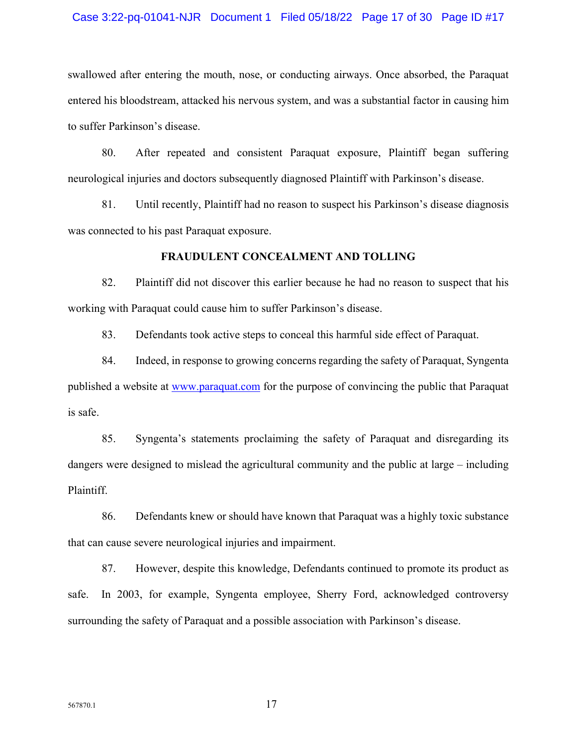### Case 3:22-pq-01041-NJR Document 1 Filed 05/18/22 Page 17 of 30 Page ID #17

swallowed after entering the mouth, nose, or conducting airways. Once absorbed, the Paraquat entered his bloodstream, attacked his nervous system, and was a substantial factor in causing him to suffer Parkinson's disease.

80. After repeated and consistent Paraquat exposure, Plaintiff began suffering neurological injuries and doctors subsequently diagnosed Plaintiff with Parkinson's disease.

81. Until recently, Plaintiff had no reason to suspect his Parkinson's disease diagnosis was connected to his past Paraquat exposure.

#### **FRAUDULENT CONCEALMENT AND TOLLING**

82. Plaintiff did not discover this earlier because he had no reason to suspect that his working with Paraquat could cause him to suffer Parkinson's disease.

83. Defendants took active steps to conceal this harmful side effect of Paraquat.

84. Indeed, in response to growing concerns regarding the safety of Paraquat, Syngenta published a website at www.paraquat.com for the purpose of convincing the public that Paraquat is safe.

85. Syngenta's statements proclaiming the safety of Paraquat and disregarding its dangers were designed to mislead the agricultural community and the public at large – including Plaintiff.

86. Defendants knew or should have known that Paraquat was a highly toxic substance that can cause severe neurological injuries and impairment.

87. However, despite this knowledge, Defendants continued to promote its product as safe. In 2003, for example, Syngenta employee, Sherry Ford, acknowledged controversy surrounding the safety of Paraquat and a possible association with Parkinson's disease.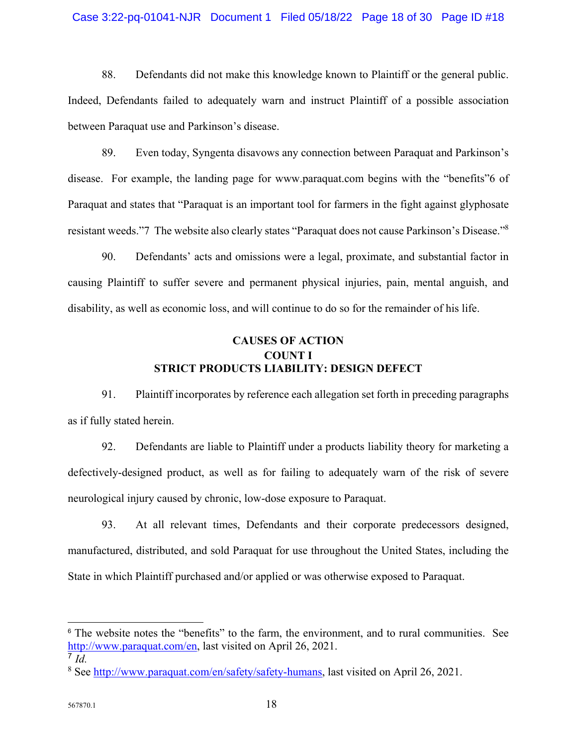## Case 3:22-pq-01041-NJR Document 1 Filed 05/18/22 Page 18 of 30 Page ID #18

88. Defendants did not make this knowledge known to Plaintiff or the general public. Indeed, Defendants failed to adequately warn and instruct Plaintiff of a possible association between Paraquat use and Parkinson's disease.

89. Even today, Syngenta disavows any connection between Paraquat and Parkinson's disease. For example, the landing page for www.paraquat.com begins with the "benefits"6 of Paraquat and states that "Paraquat is an important tool for farmers in the fight against glyphosate resistant weeds."7 The website also clearly states "Paraquat does not cause Parkinson's Disease."8

90. Defendants' acts and omissions were a legal, proximate, and substantial factor in causing Plaintiff to suffer severe and permanent physical injuries, pain, mental anguish, and disability, as well as economic loss, and will continue to do so for the remainder of his life.

# **CAUSES OF ACTION COUNT I STRICT PRODUCTS LIABILITY: DESIGN DEFECT**

91. Plaintiff incorporates by reference each allegation set forth in preceding paragraphs as if fully stated herein.

92. Defendants are liable to Plaintiff under a products liability theory for marketing a defectively-designed product, as well as for failing to adequately warn of the risk of severe neurological injury caused by chronic, low-dose exposure to Paraquat.

93. At all relevant times, Defendants and their corporate predecessors designed, manufactured, distributed, and sold Paraquat for use throughout the United States, including the State in which Plaintiff purchased and/or applied or was otherwise exposed to Paraquat.

l

<sup>&</sup>lt;sup>6</sup> The website notes the "benefits" to the farm, the environment, and to rural communities. See http://www.paraquat.com/en, last visited on April 26, 2021. 7 *Id.*

<sup>&</sup>lt;sup>8</sup> See http://www.paraquat.com/en/safety/safety-humans, last visited on April 26, 2021.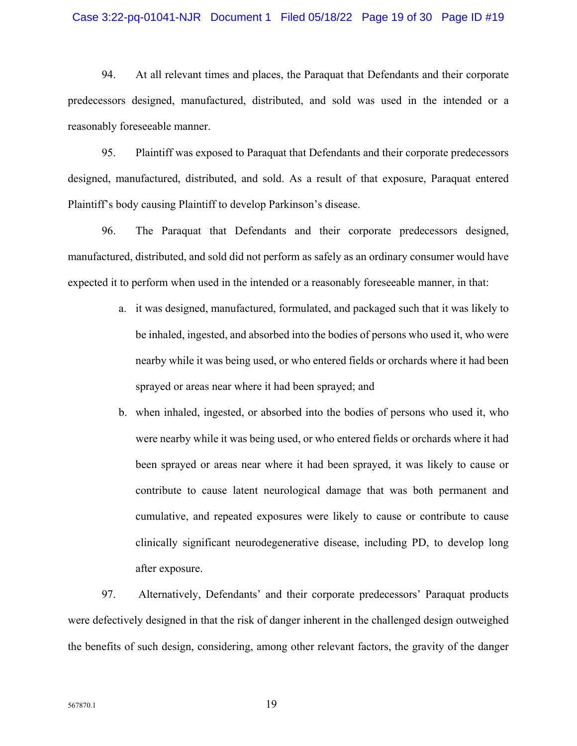## Case 3:22-pq-01041-NJR Document 1 Filed 05/18/22 Page 19 of 30 Page ID #19

94. At all relevant times and places, the Paraquat that Defendants and their corporate predecessors designed, manufactured, distributed, and sold was used in the intended or a reasonably foreseeable manner.

95. Plaintiff was exposed to Paraquat that Defendants and their corporate predecessors designed, manufactured, distributed, and sold. As a result of that exposure, Paraquat entered Plaintiff's body causing Plaintiff to develop Parkinson's disease.

96. The Paraquat that Defendants and their corporate predecessors designed, manufactured, distributed, and sold did not perform as safely as an ordinary consumer would have expected it to perform when used in the intended or a reasonably foreseeable manner, in that:

- a. it was designed, manufactured, formulated, and packaged such that it was likely to be inhaled, ingested, and absorbed into the bodies of persons who used it, who were nearby while it was being used, or who entered fields or orchards where it had been sprayed or areas near where it had been sprayed; and
- b. when inhaled, ingested, or absorbed into the bodies of persons who used it, who were nearby while it was being used, or who entered fields or orchards where it had been sprayed or areas near where it had been sprayed, it was likely to cause or contribute to cause latent neurological damage that was both permanent and cumulative, and repeated exposures were likely to cause or contribute to cause clinically significant neurodegenerative disease, including PD, to develop long after exposure.

97. Alternatively, Defendants' and their corporate predecessors' Paraquat products were defectively designed in that the risk of danger inherent in the challenged design outweighed the benefits of such design, considering, among other relevant factors, the gravity of the danger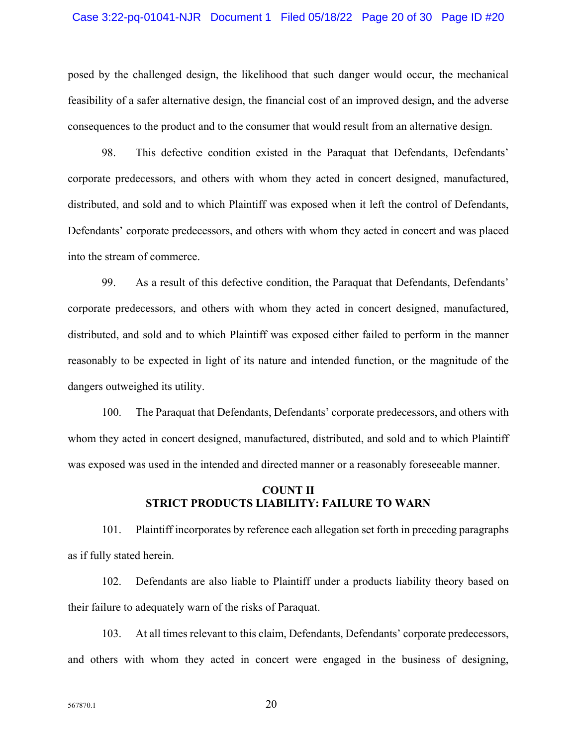#### Case 3:22-pq-01041-NJR Document 1 Filed 05/18/22 Page 20 of 30 Page ID #20

posed by the challenged design, the likelihood that such danger would occur, the mechanical feasibility of a safer alternative design, the financial cost of an improved design, and the adverse consequences to the product and to the consumer that would result from an alternative design.

98. This defective condition existed in the Paraquat that Defendants, Defendants' corporate predecessors, and others with whom they acted in concert designed, manufactured, distributed, and sold and to which Plaintiff was exposed when it left the control of Defendants, Defendants' corporate predecessors, and others with whom they acted in concert and was placed into the stream of commerce.

99. As a result of this defective condition, the Paraquat that Defendants, Defendants' corporate predecessors, and others with whom they acted in concert designed, manufactured, distributed, and sold and to which Plaintiff was exposed either failed to perform in the manner reasonably to be expected in light of its nature and intended function, or the magnitude of the dangers outweighed its utility.

100. The Paraquat that Defendants, Defendants' corporate predecessors, and others with whom they acted in concert designed, manufactured, distributed, and sold and to which Plaintiff was exposed was used in the intended and directed manner or a reasonably foreseeable manner.

# **COUNT II STRICT PRODUCTS LIABILITY: FAILURE TO WARN**

101. Plaintiff incorporates by reference each allegation set forth in preceding paragraphs as if fully stated herein.

102. Defendants are also liable to Plaintiff under a products liability theory based on their failure to adequately warn of the risks of Paraquat.

103. At all times relevant to this claim, Defendants, Defendants' corporate predecessors, and others with whom they acted in concert were engaged in the business of designing,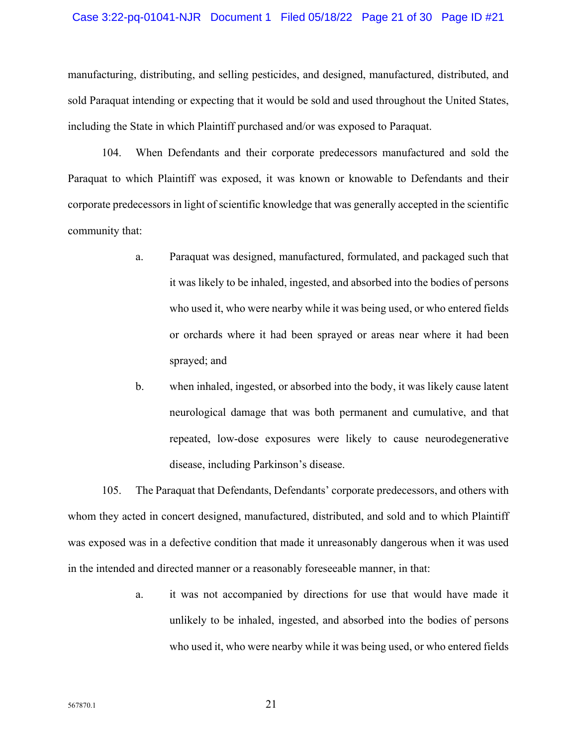#### Case 3:22-pq-01041-NJR Document 1 Filed 05/18/22 Page 21 of 30 Page ID #21

manufacturing, distributing, and selling pesticides, and designed, manufactured, distributed, and sold Paraquat intending or expecting that it would be sold and used throughout the United States, including the State in which Plaintiff purchased and/or was exposed to Paraquat.

104. When Defendants and their corporate predecessors manufactured and sold the Paraquat to which Plaintiff was exposed, it was known or knowable to Defendants and their corporate predecessors in light of scientific knowledge that was generally accepted in the scientific community that:

- a. Paraquat was designed, manufactured, formulated, and packaged such that it was likely to be inhaled, ingested, and absorbed into the bodies of persons who used it, who were nearby while it was being used, or who entered fields or orchards where it had been sprayed or areas near where it had been sprayed; and
- b. when inhaled, ingested, or absorbed into the body, it was likely cause latent neurological damage that was both permanent and cumulative, and that repeated, low-dose exposures were likely to cause neurodegenerative disease, including Parkinson's disease.

105. The Paraquat that Defendants, Defendants' corporate predecessors, and others with whom they acted in concert designed, manufactured, distributed, and sold and to which Plaintiff was exposed was in a defective condition that made it unreasonably dangerous when it was used in the intended and directed manner or a reasonably foreseeable manner, in that:

> a. it was not accompanied by directions for use that would have made it unlikely to be inhaled, ingested, and absorbed into the bodies of persons who used it, who were nearby while it was being used, or who entered fields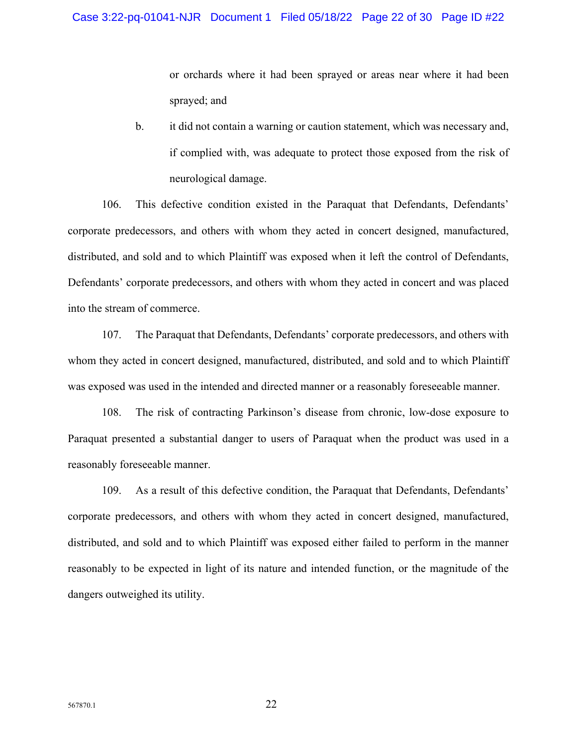or orchards where it had been sprayed or areas near where it had been sprayed; and

b. it did not contain a warning or caution statement, which was necessary and, if complied with, was adequate to protect those exposed from the risk of neurological damage.

106. This defective condition existed in the Paraquat that Defendants, Defendants' corporate predecessors, and others with whom they acted in concert designed, manufactured, distributed, and sold and to which Plaintiff was exposed when it left the control of Defendants, Defendants' corporate predecessors, and others with whom they acted in concert and was placed into the stream of commerce.

107. The Paraquat that Defendants, Defendants' corporate predecessors, and others with whom they acted in concert designed, manufactured, distributed, and sold and to which Plaintiff was exposed was used in the intended and directed manner or a reasonably foreseeable manner.

108. The risk of contracting Parkinson's disease from chronic, low-dose exposure to Paraquat presented a substantial danger to users of Paraquat when the product was used in a reasonably foreseeable manner.

109. As a result of this defective condition, the Paraquat that Defendants, Defendants' corporate predecessors, and others with whom they acted in concert designed, manufactured, distributed, and sold and to which Plaintiff was exposed either failed to perform in the manner reasonably to be expected in light of its nature and intended function, or the magnitude of the dangers outweighed its utility.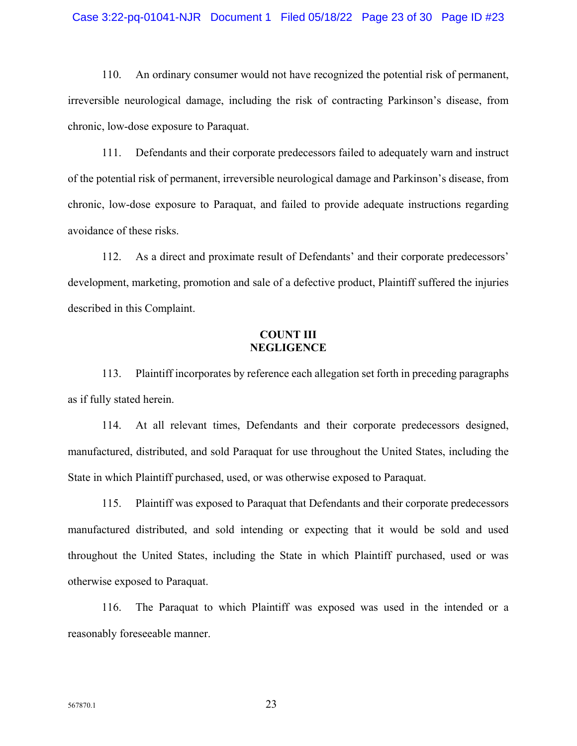### Case 3:22-pq-01041-NJR Document 1 Filed 05/18/22 Page 23 of 30 Page ID #23

110. An ordinary consumer would not have recognized the potential risk of permanent, irreversible neurological damage, including the risk of contracting Parkinson's disease, from chronic, low-dose exposure to Paraquat.

111. Defendants and their corporate predecessors failed to adequately warn and instruct of the potential risk of permanent, irreversible neurological damage and Parkinson's disease, from chronic, low-dose exposure to Paraquat, and failed to provide adequate instructions regarding avoidance of these risks.

112. As a direct and proximate result of Defendants' and their corporate predecessors' development, marketing, promotion and sale of a defective product, Plaintiff suffered the injuries described in this Complaint.

# **COUNT III NEGLIGENCE**

113. Plaintiff incorporates by reference each allegation set forth in preceding paragraphs as if fully stated herein.

114. At all relevant times, Defendants and their corporate predecessors designed, manufactured, distributed, and sold Paraquat for use throughout the United States, including the State in which Plaintiff purchased, used, or was otherwise exposed to Paraquat.

115. Plaintiff was exposed to Paraquat that Defendants and their corporate predecessors manufactured distributed, and sold intending or expecting that it would be sold and used throughout the United States, including the State in which Plaintiff purchased, used or was otherwise exposed to Paraquat.

116. The Paraquat to which Plaintiff was exposed was used in the intended or a reasonably foreseeable manner.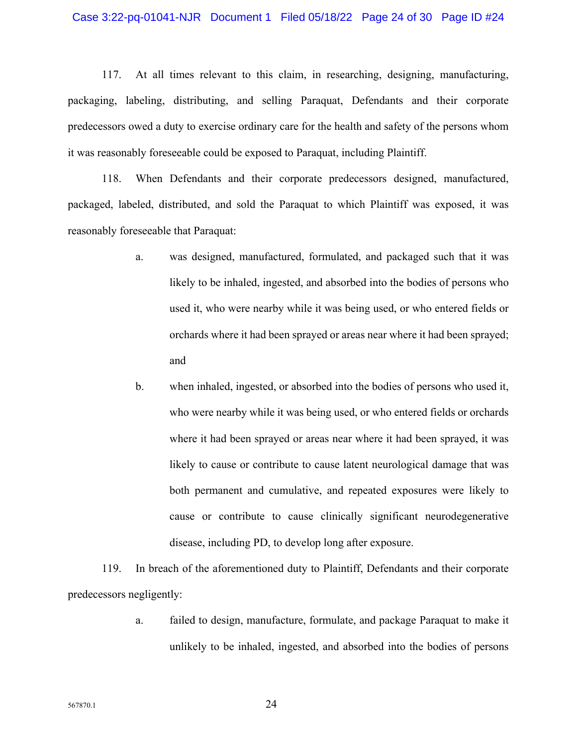### Case 3:22-pq-01041-NJR Document 1 Filed 05/18/22 Page 24 of 30 Page ID #24

117. At all times relevant to this claim, in researching, designing, manufacturing, packaging, labeling, distributing, and selling Paraquat, Defendants and their corporate predecessors owed a duty to exercise ordinary care for the health and safety of the persons whom it was reasonably foreseeable could be exposed to Paraquat, including Plaintiff.

118. When Defendants and their corporate predecessors designed, manufactured, packaged, labeled, distributed, and sold the Paraquat to which Plaintiff was exposed, it was reasonably foreseeable that Paraquat:

- a. was designed, manufactured, formulated, and packaged such that it was likely to be inhaled, ingested, and absorbed into the bodies of persons who used it, who were nearby while it was being used, or who entered fields or orchards where it had been sprayed or areas near where it had been sprayed; and
- b. when inhaled, ingested, or absorbed into the bodies of persons who used it, who were nearby while it was being used, or who entered fields or orchards where it had been sprayed or areas near where it had been sprayed, it was likely to cause or contribute to cause latent neurological damage that was both permanent and cumulative, and repeated exposures were likely to cause or contribute to cause clinically significant neurodegenerative disease, including PD, to develop long after exposure.

119. In breach of the aforementioned duty to Plaintiff, Defendants and their corporate predecessors negligently:

> a. failed to design, manufacture, formulate, and package Paraquat to make it unlikely to be inhaled, ingested, and absorbed into the bodies of persons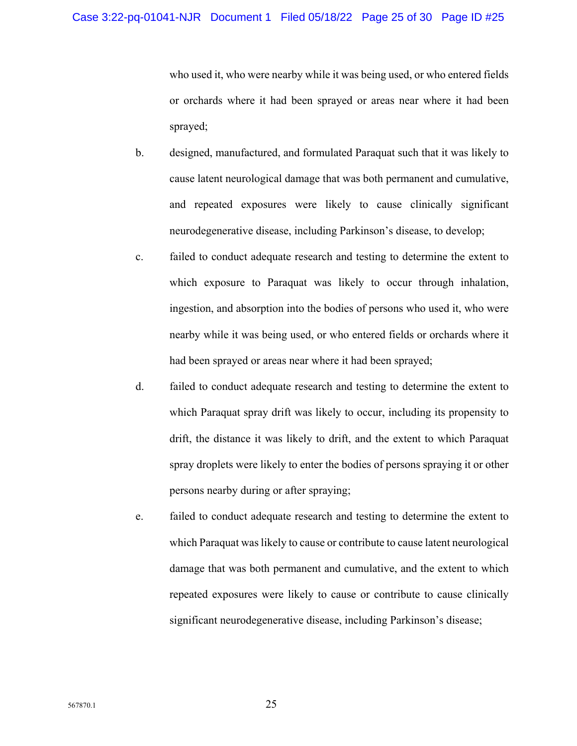who used it, who were nearby while it was being used, or who entered fields or orchards where it had been sprayed or areas near where it had been sprayed;

- b. designed, manufactured, and formulated Paraquat such that it was likely to cause latent neurological damage that was both permanent and cumulative, and repeated exposures were likely to cause clinically significant neurodegenerative disease, including Parkinson's disease, to develop;
- c. failed to conduct adequate research and testing to determine the extent to which exposure to Paraquat was likely to occur through inhalation, ingestion, and absorption into the bodies of persons who used it, who were nearby while it was being used, or who entered fields or orchards where it had been sprayed or areas near where it had been sprayed;
- d. failed to conduct adequate research and testing to determine the extent to which Paraquat spray drift was likely to occur, including its propensity to drift, the distance it was likely to drift, and the extent to which Paraquat spray droplets were likely to enter the bodies of persons spraying it or other persons nearby during or after spraying;
- e. failed to conduct adequate research and testing to determine the extent to which Paraquat was likely to cause or contribute to cause latent neurological damage that was both permanent and cumulative, and the extent to which repeated exposures were likely to cause or contribute to cause clinically significant neurodegenerative disease, including Parkinson's disease;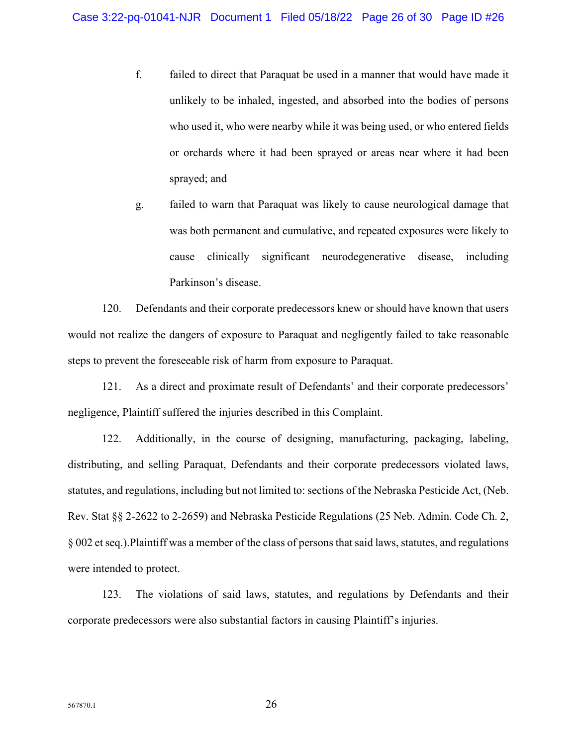- f. failed to direct that Paraquat be used in a manner that would have made it unlikely to be inhaled, ingested, and absorbed into the bodies of persons who used it, who were nearby while it was being used, or who entered fields or orchards where it had been sprayed or areas near where it had been sprayed; and
- g. failed to warn that Paraquat was likely to cause neurological damage that was both permanent and cumulative, and repeated exposures were likely to cause clinically significant neurodegenerative disease, including Parkinson's disease.

120. Defendants and their corporate predecessors knew or should have known that users would not realize the dangers of exposure to Paraquat and negligently failed to take reasonable steps to prevent the foreseeable risk of harm from exposure to Paraquat.

121. As a direct and proximate result of Defendants' and their corporate predecessors' negligence, Plaintiff suffered the injuries described in this Complaint.

122. Additionally, in the course of designing, manufacturing, packaging, labeling, distributing, and selling Paraquat, Defendants and their corporate predecessors violated laws, statutes, and regulations, including but not limited to: sections of the Nebraska Pesticide Act, (Neb. Rev. Stat §§ 2-2622 to 2-2659) and Nebraska Pesticide Regulations (25 Neb. Admin. Code Ch. 2, § 002 et seq.).Plaintiff was a member of the class of persons that said laws, statutes, and regulations were intended to protect.

123. The violations of said laws, statutes, and regulations by Defendants and their corporate predecessors were also substantial factors in causing Plaintiff's injuries.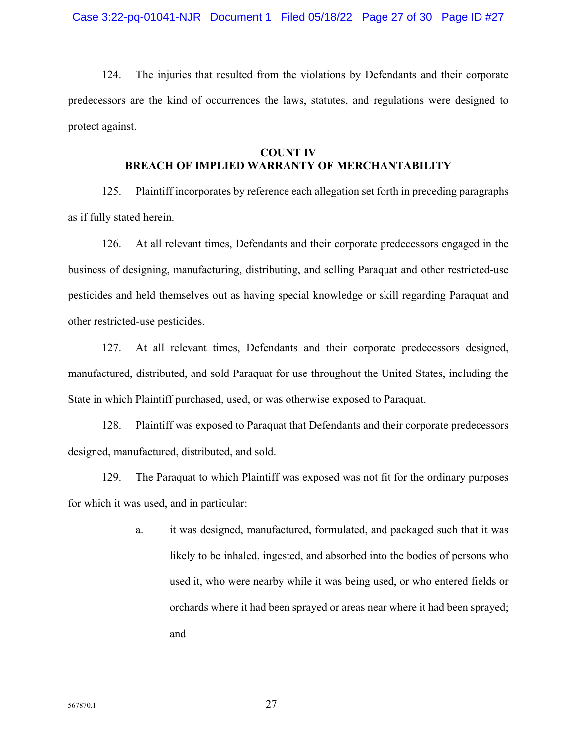124. The injuries that resulted from the violations by Defendants and their corporate predecessors are the kind of occurrences the laws, statutes, and regulations were designed to protect against.

# **COUNT IV BREACH OF IMPLIED WARRANTY OF MERCHANTABILITY**

125. Plaintiff incorporates by reference each allegation set forth in preceding paragraphs as if fully stated herein.

126. At all relevant times, Defendants and their corporate predecessors engaged in the business of designing, manufacturing, distributing, and selling Paraquat and other restricted-use pesticides and held themselves out as having special knowledge or skill regarding Paraquat and other restricted-use pesticides.

127. At all relevant times, Defendants and their corporate predecessors designed, manufactured, distributed, and sold Paraquat for use throughout the United States, including the State in which Plaintiff purchased, used, or was otherwise exposed to Paraquat.

128. Plaintiff was exposed to Paraquat that Defendants and their corporate predecessors designed, manufactured, distributed, and sold.

129. The Paraquat to which Plaintiff was exposed was not fit for the ordinary purposes for which it was used, and in particular:

> a. it was designed, manufactured, formulated, and packaged such that it was likely to be inhaled, ingested, and absorbed into the bodies of persons who used it, who were nearby while it was being used, or who entered fields or orchards where it had been sprayed or areas near where it had been sprayed; and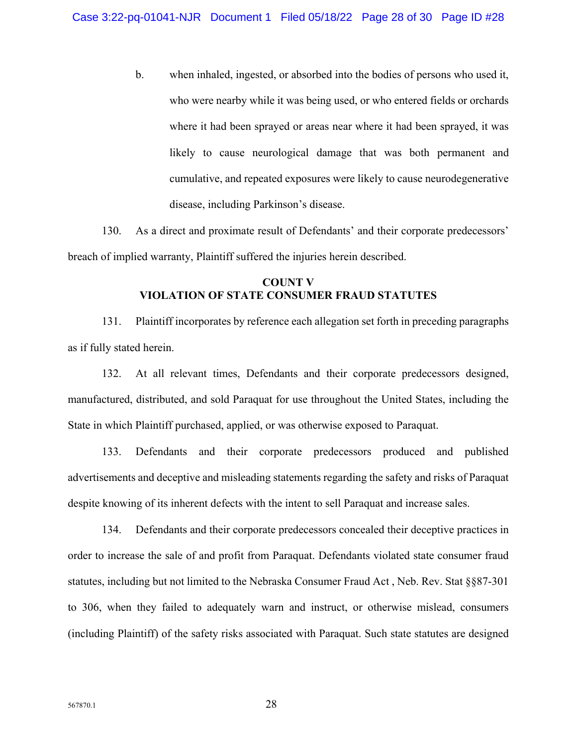b. when inhaled, ingested, or absorbed into the bodies of persons who used it, who were nearby while it was being used, or who entered fields or orchards where it had been sprayed or areas near where it had been sprayed, it was likely to cause neurological damage that was both permanent and cumulative, and repeated exposures were likely to cause neurodegenerative disease, including Parkinson's disease.

130. As a direct and proximate result of Defendants' and their corporate predecessors' breach of implied warranty, Plaintiff suffered the injuries herein described.

# **COUNT V VIOLATION OF STATE CONSUMER FRAUD STATUTES**

131. Plaintiff incorporates by reference each allegation set forth in preceding paragraphs as if fully stated herein.

132. At all relevant times, Defendants and their corporate predecessors designed, manufactured, distributed, and sold Paraquat for use throughout the United States, including the State in which Plaintiff purchased, applied, or was otherwise exposed to Paraquat.

133. Defendants and their corporate predecessors produced and published advertisements and deceptive and misleading statements regarding the safety and risks of Paraquat despite knowing of its inherent defects with the intent to sell Paraquat and increase sales.

134. Defendants and their corporate predecessors concealed their deceptive practices in order to increase the sale of and profit from Paraquat. Defendants violated state consumer fraud statutes, including but not limited to the Nebraska Consumer Fraud Act , Neb. Rev. Stat §§87-301 to 306, when they failed to adequately warn and instruct, or otherwise mislead, consumers (including Plaintiff) of the safety risks associated with Paraquat. Such state statutes are designed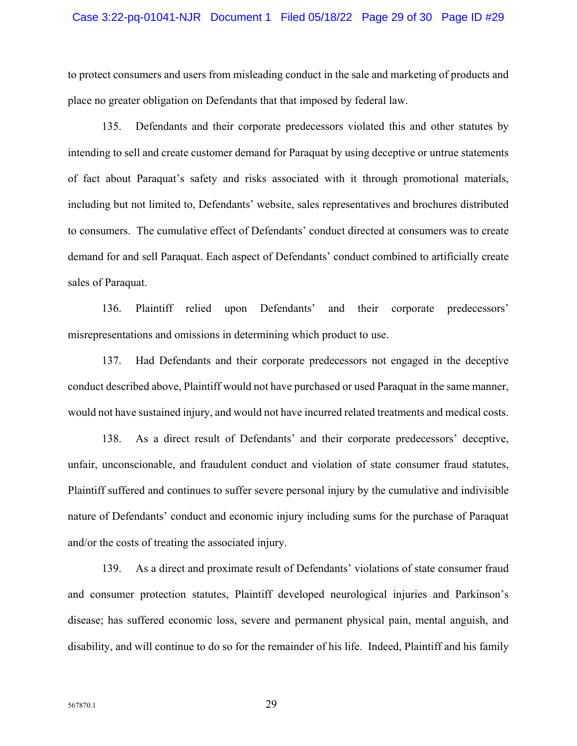to protect consumers and users from misleading conduct in the sale and marketing of products and place no greater obligation on Defendants that that imposed by federal law.

135. Defendants and their corporate predecessors violated this and other statutes by intending to sell and create customer demand for Paraquat by using deceptive or untrue statements of fact about Paraquat's safety and risks associated with it through promotional materials, including but not limited to, Defendants' website, sales representatives and brochures distributed to consumers. The cumulative effect of Defendants' conduct directed at consumers was to create demand for and sell Paraquat. Each aspect of Defendants' conduct combined to artificially create sales of Paraquat.

136. Plaintiff relied upon Defendants' and their corporate predecessors' misrepresentations and omissions in determining which product to use.

137. Had Defendants and their corporate predecessors not engaged in the deceptive conduct described above, Plaintiff would not have purchased or used Paraquat in the same manner, would not have sustained injury, and would not have incurred related treatments and medical costs.

138. As a direct result of Defendants' and their corporate predecessors' deceptive, unfair, unconscionable, and fraudulent conduct and violation of state consumer fraud statutes, Plaintiff suffered and continues to suffer severe personal injury by the cumulative and indivisible nature of Defendants' conduct and economic injury including sums for the purchase of Paraquat and/or the costs of treating the associated injury.

139. As a direct and proximate result of Defendants' violations of state consumer fraud and consumer protection statutes, Plaintiff developed neurological injuries and Parkinson's disease; has suffered economic loss, severe and permanent physical pain, mental anguish, and disability, and will continue to do so for the remainder of his life. Indeed, Plaintiff and his family